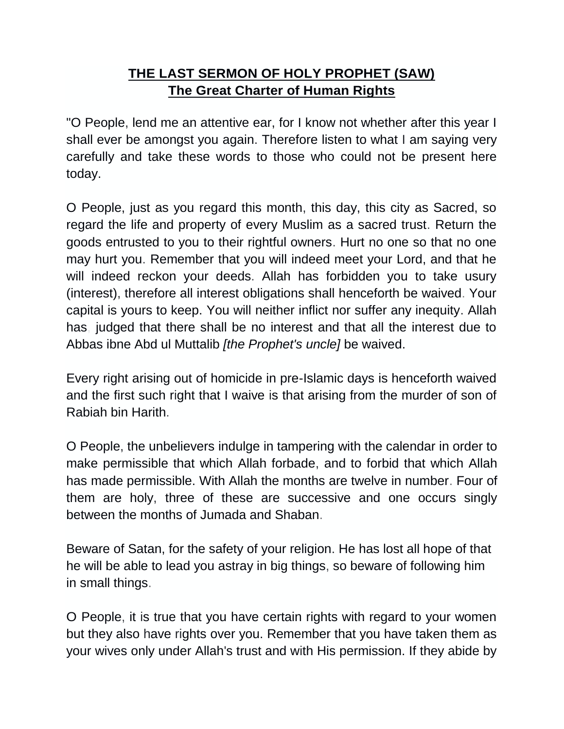## **THE LAST SERMON OF HOLY PROPHET (SAW) The Great Charter of Human Rights**

"O People, lend me an attentive ear, for I know not whether after this year I shall ever be amongst you again. Therefore listen to what I am saying very carefully and take these words to those who could not be present here today.

O People, just as you regard this month, this day, this city as Sacred, so regard the life and property of every Muslim as a sacred trust. Return the goods entrusted to you to their rightful owners. Hurt no one so that no one may hurt you. Remember that you will indeed meet your Lord, and that he will indeed reckon your deeds. Allah has forbidden you to take usury (interest), therefore all interest obligations shall henceforth be waived. Your capital is yours to keep. You will neither inflict nor suffer any inequity. Allah has, judged that there shall be no interest and that all the interest due to Abbas ibne Abd ul Muttalib *[the Prophet's uncle]* be waived.

Every right arising out of homicide in pre-Islamic days is henceforth waived and the first such right that I waive is that arising from the murder of son of Rabiah bin Harith.

O People, the unbelievers indulge in tampering with the calendar in order to make permissible that which Allah forbade, and to forbid that which Allah has made permissible. With Allah the months are twelve in number. Four of them are holy, three of these are successive and one occurs singly between the months of Jumada and Shaban.

Beware of Satan, for the safety of your religion. He has lost all hope of that he will be able to lead you astray in big things, so beware of following him in small things.

O People, it is true that you have certain rights with regard to your women but they also have rights over you. Remember that you have taken them as your wives only under Allah's trust and with His permission. If they abide by